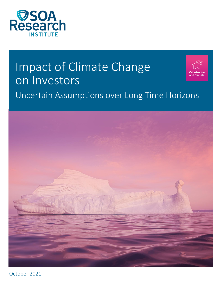

# Impact of Climate Change on Investors Uncertain Assumptions over Long Time Horizons



October 2021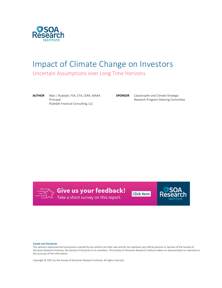

## Impact of Climate Change on Investors

Uncertain Assumptions over Long Time Horizons

**AUTHOR** Max J. Rudolph, FSA, CFA, CERA, MAAA Principal Rudolph Financial Consulting, LLC

**SPONSOR** Catastrophe and Climate Strategic Research Program Steering Committee



Give us your feedback!<br>Take a short survey on this report.

**Click Here** 



#### Caveat and Disclaimer

The opinions expressed and conclusions reached by the authors are their own and do not represent any official position or opinion of the Society of Actuaries Research Institute, the Society of Actuaries or its members. The Society of Actuaries Research Institute makes no representation or warranty to the accuracy of the information.

Copyright © 2021 by the Society of Actuaries Research Institute. All rights reserved.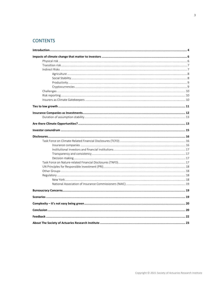## **CONTENTS**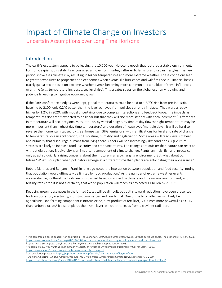# Impact of Climate Change on Investors

<span id="page-3-0"></span>Uncertain Assumptions over Long Time Horizons

## Introduction

The earth's ecosystem appears to be leaving the 10,000-year Holocene epoch that featured a stable environment. For homo sapiens, this stability encouraged a move from hunter/gatherer to farming and urban lifestyles. The new period showcases climate risk, resulting in higher temperatures and more extreme weather. These conditions lead to greater exposures to properties and economies when events like hurricanes and wildfires occur. Financial losses (rarely gains) occur based on extreme weather events becoming more common and a buildup of these influences over time (e.g., temperature increases, sea level rise). This creates stress on the global economy, slowing and potentially leading to negative economic growth.

If the Paris conference pledges were kept, global temperatures could be held to a 2.7°C rise from pre-industrial baseline by 2100, only 0.2 $^{\circ}$ C better than the level achieved from policies currently in place.<sup>1</sup> They were already higher by 1.2°C in 2020, with model uncertainty due to complex interactions and feedback loops. The impacts as temperatures rise aren't expected to be linear but that they will rise more steeply with each increment.<sup>2</sup> Differences in temperature will occur regionally, by latitude, by vertical height, by time of day (lowest night temperature may be more important than highest day time temperature) and duration of heatwaves (multiple days). It will be hard to reverse the momentum caused by greenhouse gas (GHG) emissions, with ramifications for level and rate of change to temperature, ocean acidification, soil moisture, humidity and deglaciation. Some areas will reach levels of heat and humidity that discourage humans from living there. Others will see increasingly dry conditions. Agriculture stresses are likely to increase food insecurity and crop uncertainty. The changes are quicker than nature can react to without disruption. Biodiversity is an important component of climate change. Plants, animals, fish and insects can only adapt so quickly, raising concerns about their future in a fast-changing environment. But what about *our* future? What is our plan when pollinators emerge at a different time than plants are anticipating their appearance?

Robert Malthus and Benjamin Franklin long ago noted the interaction between population and food security, noting that population would ultimately be limited by food production.<sup>3</sup> As the number of extreme weather events accelerates, agricultural methods are constrained based on impact to climate and the natural environment, and fertility rates drop it is not a certainty that world population will reach its projected 11 billion by 2100.<sup>4</sup>

Reducing greenhouse gases in the United States will be difficult, but paths toward reduction have been presented for transportation, electricity, industry, commercial and residential. One of the big challenges will likely be agriculture. One farming component is nitrous oxide, a by-product of fertilizer, 300 times more powerful as a GHG than carbon dioxide.<sup>5</sup> It also depletes the ozone layer, which protects us from ultraviolet radiation.

<sup>2</sup> Lynas, Mark. *Six Degrees: Our future on a hotter planet.* National Geographic Society. 2008.

<sup>1</sup> This paragraph is based generally on an article in The Economist. *Briefing, the three-degree world: Burning down the house.* The Economist. July 24, 2021. <https://www.economist.com/briefing/2021/07/24/three-degrees-of-global-warming-is-quite-plausible-and-truly-disastrous>

<sup>3</sup> Rudolph, Max J. *Was Malthus right, but early?* Society of Actuaries Environmental Sustainability Call for Essays. 2017.

<https://www.soa.org/research/opportunities/environmental-essays.pdf>

<sup>4</sup> UN population projectio[n https://population.un.org/wpp/Graphs/DemographicProfiles/Line/900](https://population.un.org/wpp/Graphs/DemographicProfiles/Line/900)

<sup>5</sup> Shankman, Sabrina. *What is Nitrous Oxide and why is it a Climate Threat?* Inside Climate News. September 11, 2019.

<https://insideclimatenews.org/news/11092019/nitrous-oxide-climate-pollutant-explainer-greenhouse-gas-agriculture-livestock/>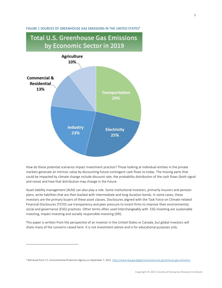#### FIGURE 1 SOURCES OF GREENHOUSE GAS EMISSIONS IN THE UNITED STATES<sup>6</sup>

## **Total U.S. Greenhouse Gas Emissions** by Economic Sector in 2019 **Agriculture** 10% **Commercial & Residential** 13% **Transportation** 29% **Industry Electricity** 23% 25%

How do these potential scenarios impact investment practice? Those looking at individual entities in the private markets generate an intrinsic value by discounting future contingent cash flows to today. The moving parts that could be impacted by climate change include discount rate, the probability distribution of the cash flows (both signal and noise) and how that distribution may change in the future.

Asset-liability management (ALM) can also play a role. Some institutional investors, primarily insurers and pension plans, write liabilities that are then backed with intermediate and long duration bonds. In some cases, these investors are the primary buyers of these asset classes. Disclosures aligned with the Task Force on Climate-related Financial Disclosures (TCFD) use transparency and peer pressure to incent firms to improve their environmental, social and governance (ESG) practices. Other terms often used interchangeably with ESG investing are sustainable investing, impact investing and socially responsible investing (SRI).

This paper is written from the perspective of an investor in the United States or Canada, but global investors will share many of the concerns raised here. It is not investment advice and is for educational purposes only.

<sup>&</sup>lt;sup>6</sup> Retrieved from U.S. Environmental Protection Agency on September 7, 2021[. https://www.epa.gov/ghgemissions/sources-greenhouse-gas-emissions](https://www.epa.gov/ghgemissions/sources-greenhouse-gas-emissions)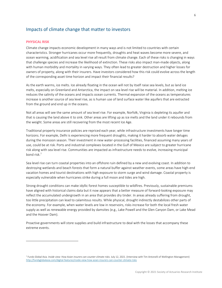## <span id="page-5-0"></span>Impacts of climate change that matter to investors

#### <span id="page-5-1"></span>**PHYSICAL RISK**

Climate change impacts economic development in many ways and is not limited to countries with certain characteristics. Stronger hurricanes occur more frequently, droughts and heat waves become more severe, and ocean warming, acidification and sea level rise all result from climate change. Each of these risks is changing in ways that challenge species and increase the likelihood of extinction. These risks also impact man-made objects, along with human morbidity and mortality in varying ways. They often lead to greater destruction and higher losses for owners of property, along with their insurers. Have investors considered how this risk could evolve across the length of the corresponding asset time horizon and impact their financial results?

As the earth warms, ice melts. Ice already floating in the ocean will not by itself raise sea levels, but as land ice melts, especially on Greenland and Antarctica, the impact on sea level rise will be material. In addition, melting ice reduces the salinity of the oceans and impacts ocean currents. Thermal expansion of the oceans as temperatures increase is another source of sea level rise, as is human use of land surface water like aquifers that are extracted from the ground and end up in the oceans.

Not all areas will see the same amount of sea level rise. For example, Norfolk, Virginia is depleting its aquifer and that is causing the land above it to sink. Other areas are lifting up as ice melts and the land under it rebounds from the weight. Some areas are still recovering from the most recent Ice Age.

Traditional property insurance policies are repriced each year, while infrastructure investments have longer time horizons. For example, Delhi is experiencing more frequent droughts, making it harder to absorb water deluges during the monsoon season. Their investment in new water-processing facilities, financed assuming many years of use, could be at risk. Ports and industrial complexes located in the Gulf of Mexico are subject to greater hurricane risk along with sea level rise. Communities are impacted as infrastructure needs to evolve, increasing municipal bond risk.<sup>7</sup>

Sea level rise can turn coastal properties into an offshore ruin defined by a new and evolving coast. In addition to destroying wetlands and beach forests that form a natural buffer against weather events, some areas have high-end vacation homes and tourist destinations with high exposure to storm surge and wind damage. Coastal property is especially vulnerable when hurricanes strike during a full moon and tides are high.

Strong drought conditions can make idyllic forest homes susceptible to wildfires. Previously, sustainable premiums have aligned with historical claims data but it now appears that a better measure of forward-looking exposure may reflect the accumulated undergrowth in an area that provides dry tinder. In areas already suffering from drought, too little precipitation can lead to calamitous results. While physical, drought indirectly destabilizes other parts of the economy. For example, when water levels are low in reservoirs, risks increase for both the local fresh water supply as well as renewable energy provided by damsites (e.g., Lake Powell and the Glen Canyon Dam, or Lake Mead and the Hoover Dam).

Proactive governments will store supplies and build infrastructure to deal with the losses that accompany these extreme events.

<sup>7</sup> Funds Global Asia. *Inside view: How Asian insurers can counter climate risks.* July 12, 2021. (Interview with Tim Antonelli of Wellington Management) <http://fundsglobalasia.com/digital-features/inside-view-how-asian-insurers-can-counter-climate-risks>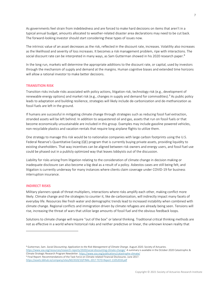As governments feel strain from indebtedness and are forced to make hard decisions on items that aren't in a typical annual budget, amounts allocated to weather-related disaster area declarations may need to be cut back. The forward-looking investor should start considering these types of issues now.

The intrinsic value of an asset decreases as the risk, reflected in the discount rate, increases. Volatility also increases as the likelihood and severity of loss increases. It becomes a risk management problem, ripe with interactions. The social discount rate can be interpreted in many ways, as Sam Gutterman showed in his 2020 research paper.<sup>8</sup>

In the long run, markets will determine the appropriate additions to the discount rate, or capital, used by investors through the mechanism of supply and demand at the margins. Human cognitive biases and extended time horizons will allow a rational investor to make better decisions.

#### <span id="page-6-0"></span>**TRANSITION RISK**

Transition risks include risks associated with policy actions, litigation risk, technology risk (e.g., development of renewable energy options) and market risk (e.g., changes in supply and demand for commodities).<sup>9</sup> As public policy leads to adaptation and building resilience, strategies will likely include de-carbonization and de-methanization as fossil fuels are left in the ground.

If humans are successful in mitigating climate change through strategies such as reducing fossil fuel extraction, stranded assets will be left behind. In addition to sequestered oil and gas, assets that run on fossil fuels or that become economically unsustainable are included in this group. Examples may include gasoline powered vehicles, non-recyclable plastics and vacation rentals that require long airplane flights to utilize them.

One strategy to manage this risk would be to nationalize companies with large carbon footprints using the U.S. Federal Reserve's Quantitative Easing (QE) program that is currently buying private assets, providing liquidity to existing shareholders. That way incentives can be aligned between risk owners and energy users, and fossil fuel use could be phased out in a publicly optimized way that leaves lobbyists out of the discussion.

Liability for risks arising from litigation relating to the consideration of climate change in decision making or inadequate disclosure can also become a big deal as a result of a policy. Asbestos cases are still being felt, and litigation is currently underway for many instances where clients claim coverage under COVID-19 for business interruption insurance.

#### <span id="page-6-1"></span>**INDIRECT RISKS**

Military planners speak of threat multipliers, interactions where risks amplify each other, making conflict more likely. Climate change and the strategies to counter it, like de-carbonization, will indirectly impact many facets of everyday life. Resources like fresh water and demographic trends lead to increased instability when combined with climate change. Regional conflicts and immigration driven by climate refugees are already being seen. Tensions will rise, increasing the threat of wars that utilize large amounts of fossil fuel and the obvious feedback loops.

Solutions to climate change will require "out of the box" or lateral thinking. Traditional critical thinking methods are not as effective in a world where historical risks and neither predictive or linear, the unknown known reality that

<https://www.soa.org/resources/research-reports/2020/social-discounting-climate-change/>A summary is available in the October 2020 Catastrophic & Climate Strategic Research Program Newsletter[. https://www.soa.org/publications/catastrophe-climate/](https://www.soa.org/publications/catastrophe-climate/)

<sup>9</sup> Final Report: Recommendations of the Task Force on Climate-related Financial Disclosures. June 2017. <https://assets.bbhub.io/company/sites/60/2020/10/FINAL-2017-TCFD-Report-11052018.pdf>

<sup>&</sup>lt;sup>8</sup> Gutterman, Sam. Social Discounting: Application to the Risk Management of Climate Change. August 2020. Society of Actuaries.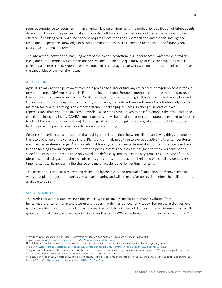requires experience to recognize.<sup>10</sup> In an unknown known environment, the probability distribution of future events differs from those in the past and makes it more difficult for statistical methods and predictive modeling to be effective.<sup>11</sup> Thinking over long time horizons requires more than linear extrapolation and artificial intelligence techniques. Experience, knowledge of history and first principles are all needed to anticipate the future when change comes at you quickly.

The interactions between so many segments of the earth's ecosystem (e.g., energy cycle, water cycle, nitrogen cycle) are hard to model. Much of this analysis will need to be done qualitatively, at least for a while, as data is collected and interpreted. Experienced investors and risk managers can work with quantitative models to improve the capabilities of each on their own.

#### <span id="page-7-0"></span>**AGRICULTURE**

Agriculture may need to pivot away from nitrogen as a fertilizer or find ways to capture nitrogen present in the air or water to meet GHG emission goals. Farmers using traditional European methods of farming may need to revisit their practices to be more sustainable. No till farming is a good start, but agriculture's role in biodiversity loss and GHG emissions must go beyond crop rotation, considering methods indigenous farmers have traditionally used to maintain soil quality. Farming is an already extremely challenging business, so changes in practice have repercussions throughout the investment world. Failed crops have proven to be inflationary in the past, leading to global food insecurity issues (COVID's impact on the supply chain is also a concern, and populations tend to focus on food first before other items of trade). Technological solutions for agriculture may also be susceptible to cyber hacking as techniques become more dependent on computing.

Concerns for agriculture and nutrition that highlight the interactions between climate and living things are due to the rate of change of the current climate. Plants and animals need time to evolve adaptive traits as temperatures warm and ecosystems change.<sup>12</sup> Biodiversity builds ecosystem resilience. As useful as monoculture practices have been to feeding growing populations, they also pose a threat since they are designed for the environment at a specific point in time. Threats need only avoid one defense system to become a systemic risk. This type of risk is often described using a metaphor: we often design systems that reduce the likelihood of a small accident over short time horizons while increasing the chance of a major accident over longer time horizons.

The insect population has already been decimated by chemicals and removal of native habitat.<sup>13</sup> Now scientists worry that plants adjust more quickly to an earlier spring and will be ready for pollination before the pollinators are available to do so.

#### <span id="page-7-1"></span>SOCIAL STABILITY

The earth ecosystem's stability since the last Ice Age is positively correlated to man's evolution from hunter/gatherer to farmer, manufacturer and trader that defines our economy today. Temperature changes, even what seems like a small amount of a few degrees, is enough to bring broad changes to the environment, especially given the rate of change we are experiencing. Over the last 22,000 years, temperatures have increased by 4.3°C

<sup>10</sup> Werther, Guntram and Rudolph, Max. *Resurrecting the White Swan Mindset: How much more can be forecast?*  <https://www.soa.org/resources/research-reports/2021/resurrecting-white-swan/>

<sup>11</sup> Rudolph, Max. *Unknown Knowns: Time Horizon.* SOA Climate and Environmental Sustainability 2018 Call for Essays. May 2019.

<https://www.soa.org/globalassets/assets/files/resources/research-report/2019/climate-env-sustainability-2018-call-for-essays.pdf>

<sup>&</sup>lt;sup>12</sup> A good example showing that humans have similar issues is the wine industry, where growing vines is a slow process. Moving a vineyard to an area better suited in tomorrow's climate is not an exact science but has started to occur.

<sup>13</sup> Halsch, Christopher et al. *Insects and recent climate change*. PNAS (Proceedings of the National Academy of Sciences of the United States of America). January 12, 2021[. https://www.pnas.org/content/118/2/e2002543117](https://www.pnas.org/content/118/2/e2002543117)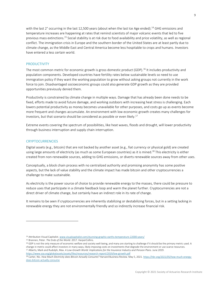with the last 2° occurring in the last 12,500 years (about when the last Ice Age ended).<sup>14</sup> GHG emissions and temperature increases are happening at rates that remind scientists of major volcanic events that led to five previous mass extinctions.<sup>15</sup> Social stability is at risk due to food availability and price volatility, as well as regional conflict. The immigration crisis in Europe and the southern border of the United States are at least partly due to climate change, as the Middle East and Central America become less hospitable to crops and humans. Investors have entered a less certain world.

#### <span id="page-8-0"></span>PRODUCTIVITY

The most common metric for economic growth is gross domestic product (GDP).<sup>16</sup> It includes productivity and population components. Developed countries have fertility rates below sustainable levels so need to use immigration policy if they want the working population to grow without asking groups not currently in the work force to join. Disadvantaged socioeconomic groups could also generate GDP growth as they are provided opportunities previously denied them.

Productivity is constrained by climate change in multiple ways. Damage that has already been done needs to be fixed, efforts made to avoid future damage, and working outdoors with increasing heat stress is challenging. Each lowers potential productivity as money becomes unavailable for other purposes, and costs go up as events become more frequent and changes accumulate. An environment with low economic growth creates many challenges for investors, but that scenario should be considered as possible or even likely. 17

Extreme events covering the spectrum of possibilities, like heat waves, floods and drought, will lower productivity through business interruption and supply chain interruption.

#### <span id="page-8-1"></span>**CRYPTOCURRENCIES**

Digital assets (e.g., bitcoin) that are not backed by another asset (e.g., fiat currency or physical gold) are created using large amounts of electricity (as much as some European countries) as it is mined.<sup>18</sup> This electricity is either created from non-renewable sources, adding to GHG emissions, or diverts renewable sources away from other uses.

Conceptually, a block chain process with no centralized authority and promising anonymity has some positive aspects, but the lack of value stability and the climate impact has made bitcoin and other cryptocurrencies a challenge to make sustainable.

As electricity is the power source of choice to provide renewable energy to the masses, there could be pressure to reduce uses that participate in a climate feedback loop and warm the planet further. Cryptocurrencies are not a direct driver of climate change, but certainly have an indirect role in its rate of change.

It remains to be seen if cryptocurrencies are inherently stabilizing or destabilizing forces, but in a setting lacking in renewable energy they are not environmentally friendly and so indirectly increase financial risk.

<sup>14</sup> Attribution Visual Capitalist[. www.visualcapitalist.com/stunning-graphic-earths-temperature-22000-years/](http://www.visualcapitalist.com/stunning-graphic-earths-temperature-22000-years/)

<sup>15</sup> Brannen, Peter. *The Ends of the World*. 2017. HarperCollins.

<sup>&</sup>lt;sup>16</sup> GDP is not the only measure of economic welfare and society well-being, and many are starting to challenge if it should be the primary metric used. A change in metric could affect investors in many ways, likely imposing costs on investments that degrade the environment or use scarce resources. <sup>17</sup> Alberts, Mark and Rudolph, Max. A Low-Growth World: Implications for the Insurance Industry and Pension Plans. June 2019.

<https://www.soa.org/globalassets/assets/files/resources/research-report/2019/low-growth.pdf>

<sup>18</sup> Carter, Nic. *How Much Electricity does Bitcoin Actually Consume?* Harvard Business Review. May 5, 2021[. https://hbr.org/2021/05/how-much-energy](https://hbr.org/2021/05/how-much-energy-does-bitcoin-actually-consume)[does-bitcoin-actually-consume](https://hbr.org/2021/05/how-much-energy-does-bitcoin-actually-consume)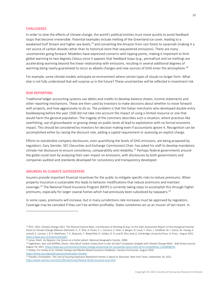#### <span id="page-9-0"></span>**CHALLENGES**

In order to slow the effects of climate change, the world's political entities must move quickly to avoid feedback loops that become irreversible. Potential examples include melting of the Greenland ice cover, leading to a weakened Gulf Stream and higher sea levels,<sup>19</sup> and converting the Amazon from rain forest to savannah (making it a net source of carbon dioxide rather than its historical store that sequestered emissions). There are many uncertainties going forward. Modelers have expressed concerns with tipping points, making it important to limit global warming to two degrees Celsius since it appears that feedback loops (e.g., permafrost and ice melting) are accelerating warming beyond the linear relationship with emissions, resulting in several additional degrees of warming being nearly guaranteed to occur as albedo changes and new sources of GHG enter the atmosphere. $^{20}$ 

For example, some climate models anticipate an environment where certain types of clouds no longer form. What else is not fully understood that will surprise us in the future? These uncertainties will be reflected in investment risk.

#### <span id="page-9-1"></span>**RISK REPORTING**

Traditional ledger accounting systems use debits and credits to develop balance sheets, income statements and other reporting mechanisms. These are then used by investors to make decisions about whether to move forward with projects, and how aggressively to do so. The problem is that the Italian merchants who developed double-entry bookkeeping before the year 1500 did not take into account the impact of using a limited resource or one that would harm the general population. The tragedy of the commons describes such a situation, where practices like overfishing, use of groundwater or grazing sheep on public lands all lead to exploitation with no formal economic impact. This should be considered by investors for decision making even if accountants ignore it. Recognition can be accomplished either by raising the discount rate, adding a capital requirement or assessing an explicit charge.

Efforts to standardize company disclosures, even quantifying the levels of GHG emissions, are being proposed by regulators. Gary Gensler, SEC (Securities and Exchange Commission) Chair, has asked his staff to develop mandatory climate-risk disclosure to ensure consistency, comparability and reliability.<sup>21</sup> Perhaps federal governments around the globe could start by analyzing their own impact on emissions, with disclosures by both governments and companies audited and standards developed for consistency and transparency developed.

#### <span id="page-9-2"></span>**INSURERS AS CLIMATE GATEKEEPERS**

Insurers provide important financial incentives for the public to mitigate specific risks to reduce premiums. When property insurance is sustainable this leads to behavior modifications that reduce premiums and maintain coverage.<sup>22</sup> The National Flood Insurance Program (NFIP) is currently taking steps to accomplish this through higher premiums, especially for larger coastal homes which had previously been subsidized by taxpayers.<sup>23</sup>

In some cases, premiums will increase, but in many jurisdictions rate increases must be approved by regulators. Coverage may be canceled if they can't be written profitably. States sometimes act as an insurer of last resort. In

<sup>19</sup> IPCC, 2021: Climate Change 2021: The Physical Science Basis. Contribution of Working Group I to the Sixth Assessment Report of the Intergovernmental Panel on Climate Change [Masson-Delmotte, V., P. Zhai, A. Pirani, S. L. Connors, C. Péan, S. Berger, N. Caud, Y. Chen, L. Goldfarb, M. I. Gomis, M. Huang, K. Leitzell, E. Lonnoy, J. B. R. Matthews, T. K. Maycock, T. Waterfield, O. Yelekçi, R. Yu and B. Zhou (eds.)]. Cambridge University Press. In Press. August 2021. <https://www.ipcc.ch/report/ar6/wg1/>

<sup>20</sup> Lynas, Mark. *Six Degrees: Our future on a hotter planet.* National Geographic Society. 2008.

<sup>&</sup>lt;sup>21</sup> Eaglesham, Jean and Shifflett, Shane. How Much Carbon Comes from a Liter of Coke? Companies Grapple with Climate Change Math. Wall Street Journal. August 10, 2021[. https://www.wsj.com/articles/climate-change-accounting-for-companies-looms-with-all-its-complexities-11628608324](https://www.wsj.com/articles/climate-change-accounting-for-companies-looms-with-all-its-complexities-11628608324)

<sup>22</sup> Holley, Eric Holley et al. *Climate Change and Market-Based Insurance Feedbacks*. Society of Actuaries. August 2020. <https://www.soa.org/publications/catastrophe-climate/>

<sup>&</sup>lt;sup>23</sup> Flavelle, Christopher. *The Cost of Insuring Expensive Waterfront Homes is about to Skyrocket.* New York Times. September 24, 2021. <https://www.nytimes.com/2021/09/24/climate/federal-flood-insurance-cost.html>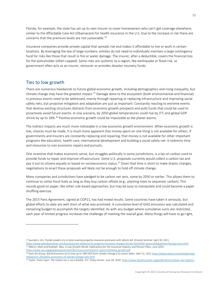Florida, for example, the state has set up its own insurer to cover homeowners who can't get coverage elsewhere, similar to the Affordable Care Act (Obamacare) for health insurance in the U.S. Due to the increase in risk there are concerns that the premium levels are not sustainable.<sup>24</sup>

Insurance companies provide private capital that spreads risk and makes it affordable to live or work in certain locations. By leveraging the law of large numbers, entities do not need to individually maintain a large contingency fund for risks like those that result in fire or water damage. The insurer, after a deductible, covers the financial loss for the policyholder (often capped). Some risks are systemic to a region, like earthquake or flood risk, so government often acts as an insurer, reinsurer or provides disaster recovery funds.

## <span id="page-10-0"></span>Ties to low growth

There are numerous headwinds to future global economic growth, including demographics and rising inequality, but climate change may have the greatest impact.<sup>25</sup> Damage done to the ecosystem (both environmental and financial) in previous events need to be addressed, mainly through repairing or replacing infrastructure and improving social safety nets, but proactive mitigation and adaptation are just as important. Constantly reacting to extreme events that destroy existing structures distracts from economic growth prospects and pulls funds that could be used to proactively avoid future events. In one scenario, by 2050 global temperatures could rise by 3°C and global GDP shrink by up to 18%.<sup>26</sup> Positive economic growth could be impossible as the planet warms.

The indirect impacts are much more noticeable in a low economic growth environment. When economic growth is low, choices must be made. It is much more apparent that money spent on one thing is not available for others. If governments and insurers are constantly replacing and repairing, that money is not available for other important programs like education, health care, international development and building a social safety net. It redirects time and resources to non-economic repairs and pursuits.

One incentive that makes economic sense, but struggles politically in some jurisdictions, is a tax on carbon used to provide funds to repair and improve infrastructure. Some U.S. proposals currently would collect a carbon tax and pay it out to citizens equally or based on socioeconomic status.<sup>27</sup> Given that time is short to make drastic changes, negotiations to enact these proposals will likely not be enough to hold off climate change.

Many companies and jurisdictions have pledged to be carbon net zero, some by 2050 or earlier. This allows them to continue to utilize fossil fuels as long as they buy carbon offsets (e.g., planting trees to sequester carbon). This sounds good on paper, like other rule-based approaches, but may be easy to manipulate and could become a paper shuffling exercise.

The 2015 Paris Agreement, signed at COP21, has had mixed results. Some countries have taken it seriously, but global efforts to date are well short of what was promised. A cumulative level of GHG emissions was calculated and remaining budget to accomplish the targets identified. As with any budget where cumulative sums are restricted, each year of limited progress increases the challenge of meeting the overall goal. Many things will have to go right,

<sup>24</sup> Saunders, Jim. *Florida Leaders try to tame soaring property-insurance premiums with reform bill.* Orlando Sentinel. April 30, 2021.

<https://www.orlandosentinel.com/business/real-estate/os-bz-property-insurance-changes-florida-20210430-ojpyun2b4jdujehxnzrfxuclqq-story.html> <sup>25</sup> Alberts, Mark and Rudolph, Max. A Low-Growth World: Implications for the Insurance Industry and Pension Plans. June 2019. <https://www.soa.org/globalassets/assets/files/resources/research-report/2019/low-growth.pdf>

<sup>&</sup>lt;sup>26</sup> Swiss Re Group. World Economy set to lose up to 18% GDP from climate change if no action taken. April 22, 202[1 https://www.swissre.com/media/news](https://www.swissre.com/media/news-releases/nr-20210422-economics-of-climate-change-risks.html)[releases/nr-20210422-economics-of-climate-change-risks.html](https://www.swissre.com/media/news-releases/nr-20210422-economics-of-climate-change-risks.html)

<sup>27</sup> Taylor, Yesim Sayin. *The carbon tax is not a freebie.* D.C. Policy Center. June 18, 2018[. https://www.dcpolicycenter.org/publications/carbon-tax-impacts/](https://www.dcpolicycenter.org/publications/carbon-tax-impacts/)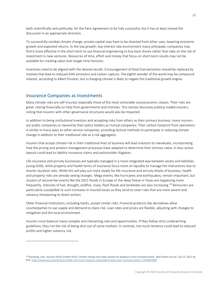both scientifically and politically, for the Paris Agreement to be fully successful, but it has at least moved the discussion in an appropriate direction.

To successfully combat climate change, private capital may have to be diverted from other uses, lowering economic growth and expected returns. In the low growth, low interest rate environment many anticipate, companies may find it more effective in the short-term to use financial engineering to buy back shares rather than take on the risk of investment in new ventures. Resources of time, effort and money that focus on short-term results may not be available for creating value over longer time horizons.

Incentives need to be aligned with the desired results. Encouragement of fossil fuel extraction should be replaced by motives that lead to reduced GHG emissions and carbon capture. The eighth wonder of the world may be compound interest, according to Albert Einstein, but a changing climate is likely to negate this traditional growth engine.

## <span id="page-11-0"></span>Insurance Companies as Investments

Many climate risks are self-insured, especially those of the most vulnerable socioeconomic classes. Their risks are great, relying financially on help from governments and charities. This section discusses publicly traded insurers, noting that insurers with other governance structures would also be impacted.

In addition to being institutional investors and accepting risks from others as their primary business, many insurers are public companies or owned by their policy holders as mutual companies. Their carbon footprint from operations is similar in many ways to other service companies, providing tactical methods to participate in reducing climate change in addition to their traditional role as a risk aggregator.

Insurers that accept climate risk in their traditional lines of business will lead investors to reevaluate, incorporating how the pricing and product management processes have adapted to determine their intrinsic value. A class action lawsuit could lead to liability insurance claims and policyholder litigation.

Life insurance and annuity businesses are typically managed in a more integrated way between assets and liabilities (using ALM), while property and health forms of insurance focus more on liquidity to manage the interactions due to shorter duration risks. While this will play out more slowly for life insurance and annuity blocks of business, health and property risks are already seeing changes. Mega events, like hurricanes and earthquakes, remain important, but clusters of second-tier events like the 2021 floods in Europe or the deep freeze in Texas are happening more frequently. Intensity of hail, drought, wildfire, snow, flash floods and landslides are also increasing.<sup>28</sup> Reinsurers are particularly susceptible to such increases in insured losses as they tend to cover risks that are more severe and solvency threatening to direct writers.

Other financial institutions, including banks, accept similar risks. Financial products like derivatives allow counterparties to use supply and demand to share risk. Loan rates and prices are flexible, adjusting with changes to mitigation and the local environment.

Insurers must balance many complex and interacting risks and opportunities. If they follow strict underwriting guidelines, they run the risk of being shut out of some markets. In contrast, too much leniency could lead to reduced profits and higher solvency risk.

<sup>&</sup>lt;sup>28</sup> Steinberg, Julie. *Insurers Hit by Smaller Perils: Climate change and urban sprawl are leading to more localized events. Wall Street Journal. July 23, 2021 Pg* B10[. https://www.wsj.com/articles/smaller-but-more-frequent-catastrophes-loom-over-insurance-sector-11626959906](https://www.wsj.com/articles/smaller-but-more-frequent-catastrophes-loom-over-insurance-sector-11626959906)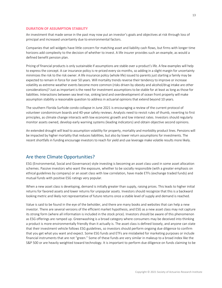#### <span id="page-12-0"></span>**DURATION OF ASSUMPTION STABILITY**

An investment that made sense in the past may now put an investor's goals and objectives at risk through loss of principal and increased uncertainty due to environmental factors.

Companies that sell widgets have little concern for matching asset and liability cash flows, but firms with longer time horizons add complexity to the decision of whether to invest. A life insurer provides such an example, as would a defined benefit pension plan.

Pricing of financial products is only sustainable if assumptions are stable over a product's life. A few examples will help to express the concept. A car insurance policy is re-priced every six months, so adding in a slight margin for uncertainty minimizes the risk to the risk owner. A life insurance policy (whole life) issued to parents just starting a family may be expected to remain in force for over 50 years. Will mortality trends reverse their tendency to improve or increase volatility as extreme weather events become more common (risks driven by obesity and alcohol/drug intake are other considerations)? Just as important is the need for investment assumptions to be stable for at least as long as those for liabilities. Interactions between sea level rise, sinking land and overdevelopment of ocean front property will make assumption stability a reasonable question to address in actuarial opinions that extend beyond 10 years.

The southern Florida Surfside condo collapse in June 2021 is encouraging a review of the current protocol of volunteer condominium boards and 40-year safety reviews. Analysts need to revisit rules of thumb, reverting to first principles, as climate change interacts with low economic growth and low interest rates. Investors should regularly monitor assets owned, develop early warning systems (leading indicators) and obtain objective second opinions.

An extended drought will lead to assumption volatility for property, mortality and morbidity product lines. Pensions will be impacted by higher mortality that reduces liabilities, but also by lower return assumptions for investments. The recent shortfalls in funding encourage investors to reach for yield and use leverage make volatile results more likely.

## <span id="page-12-1"></span>Are there Climate Opportunities?

ESG (Environmental, Social and Governance) style investing is becoming an asset class used in some asset allocation schemes. Passive investors who want the exposure, whether to be socially responsible (with a greater emphasis on ethical guidelines by company) or an asset class with low correlation, have made ETFs (exchange traded funds) and mutual funds with positive ESG ratings very popular.

When a new asset class is developing, demand is initially greater than supply, raising prices. This leads to higher initial returns for favored assets and lower returns for unpopular assets. Investors should recognize that this is a backward looking metric and likely not representative of future returns once a stable level of supply and demand is reached.

Value is said to be found in the eye of the beholder, and there are many books and websites that can help a new investor. There are several versions of the efficient market hypothesis, and ESG as a new asset class may not capture its strong form (where all information is included in the stock price). Investors should be aware of this phenomenon as ESG offerings are ramped up. Greenwashing is a broad category where consumers may be deceived into thinking a product is more environmentally friendly than it actually is. The asset class is defined loosely, and anyone can state that their investment vehicle follows ESG guidelines, so investors should perform ongoing due diligence to confirm that you get what you want and expect. Some ESG funds and ETFs are mislabeled for marketing purposes or include financial instruments that are not "green." Some of these funds are very similar in makeup to a broad index like the S&P 500 or are heavily weighted toward technology. It is important to perform due diligence on funds claiming to be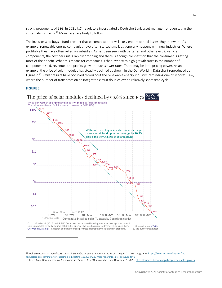strong proponents of ESG. In 2021 U.S. regulators investigated a Deutsche Bank asset manager for overstating their sustainability claims.<sup>29</sup> More cases are likely to follow.

The investor who buys a fund product that becomes tainted will likely endure capital losses. Buyer beware! As an example, renewable energy companies have often started small, as generally happens with new industries. Where profitable they have often relied on subsidies. As has been seen with batteries and other electric vehicle components, the cost per unit is rapidly dropping and there is enough competition that the consumer is getting most of the benefit. What this means for companies is that, even with high growth rates in the number of components sold, revenues and profits grow at much slower rates. There may be little pricing power. As an example, the price of solar modules has steadily declined as shown in the Our World in Data chart reproduced as Figure 2.<sup>30</sup> Similar results have occurred throughout the renewable energy industry, reminding one of Moore's Law, where the number of transistors on an integrated circuit doubles over a relatively short time cycle.

#### FIGURE 2



Data: Lafond et al. (2017) and IRENA Database; the reported learning rate is an average over several studies reported by de La Tour et al (2013) in Energy. The rate has remained very similar since then. OurWorldinData.org - Research and data to make progress against the world's largest problems.

Licensed under CC-RY by the author Max Roser

<sup>29</sup> Wall Street Journal. *Regulators Watch Sustainable Investing.* Heard on the Street. August 27, 2021. Page B10[. https://www.wsj.com/articles/the](https://www.wsj.com/articles/the-regulators-are-coming-after-sustainable-investing-11629994233?mod=searchresults_pos2&page=1)[regulators-are-coming-after-sustainable-investing-11629994233?mod=searchresults\\_pos2&page=1](https://www.wsj.com/articles/the-regulators-are-coming-after-sustainable-investing-11629994233?mod=searchresults_pos2&page=1)

<sup>30</sup> Roser, Max. *Why did renewables become so cheap so fast?* Our World in Data. December 1, 2020[. https://ourworldindata.org/cheap-renewables-growth](https://ourworldindata.org/cheap-renewables-growth)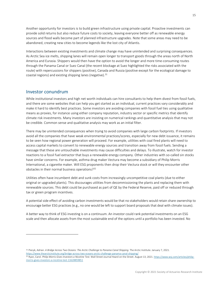Another opportunity for investors is to build green infrastructure using private capital. Proactive investments can provide solid returns but also reduce future costs to society, leaving everyone better off as renewable energy sources and flood walls become part of planned infrastructure upgrades. Note that some areas may need to be abandoned, creating new cities to become legends like the lost city of Atlantis.

Interactions between existing investments and climate change may have unintended and surprising consequences. As Arctic Sea ice melts, shipping lanes will remain open longer to transport goods through the areas north of North America and Eurasia. Shippers would then have the option to avoid the longer and more time-consuming routes through the Panama Canal or Suez Canal (the recent blockage at Suez highlighted the risks associated with the route) with repercussions for shippers (positive), Canada and Russia (positive except for the ecological damage to coastal regions) and existing shipping lanes (negative). $31$ 

#### <span id="page-14-0"></span>Investor conundrum

While institutional investors and high net worth individuals can hire consultants to help them divest from fossil fuels, and there are some websites that can help you get started as an individual, current practices vary considerably and make it hard to identify best practices. Some investors are avoiding companies with fossil fuel ties using qualitative means as proxies, for instance using either company reputation, industry sector or specific metrics that identify climate risk investments. Many investors are insisting on numerical rankings and quantitative analysis that may not be credible. Common sense and qualitative analysis may work as an initial filter.

There may be unintended consequences when trying to avoid companies with large carbon footprints. If investors avoid all the companies that have weak environmental practices/scores, especially for new debt issuance, it remains to be seen how regional power generation will proceed. For example, utilities with coal fired plants will need to access capital markets to convert to renewable energy sources and transition away from fossil fuels. Sending a message that these are untouchable investments may cause difficulties and delays. To illustrate, watch for investor reactions to a fossil fuel extractor that buys a renewable energy company. Other industries with so-called sin stocks have similar concerns. For example, asthma drug maker Vectura may become a subsidiary of Philip Morris International, a cigarette maker. Will ESG proponents then drop their Vectura stock or will they encounter other obstacles in their normal business operations?<sup>32</sup>

Utilities often have incumbent debt and sunk costs from increasingly uncompetitive coal plants (due to either original or upgraded plants). This discourages utilities from decommissioning the plants and replacing them with renewable sources. This debt could be purchased as part of QE by the Federal Reserve, paid off or reduced through tax or green program incentives.

A potential side effect of avoiding carbon investments would be that no stakeholders would retain share ownership to encourage better ESG practices (e.g., no one would be left to support board proposals that deal with climate issues).

A better way to think of ESG investing is on a continuum. An investor could rank potential investments on an ESG scale and then allocate assets from the most sustainable end of the options until a portfolio has been invested. No

<sup>&</sup>lt;sup>31</sup> Piecyk, Adrian. A Bridge Across Two Oceans: The Arctic Challenge to Panama Canal Shipping. The Arctic Institute. January 7, 2021. <https://www.thearcticinstitute.org/bridge-across-two-oceans-arctic-challenge-panama-canal-shipping/>

<sup>32</sup> Ryan, Carol. *Philip Morris Gives Investors a Nicotine Test.* Wall Street Journal Heard on the Street. August 13, 2021[. https://www.wsj.com/articles/philip](https://www.wsj.com/articles/philip-morris-gives-investors-a-nicotine-test-11628859851)[morris-gives-investors-a-nicotine-test-11628859851](https://www.wsj.com/articles/philip-morris-gives-investors-a-nicotine-test-11628859851)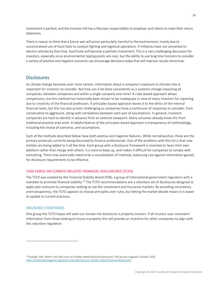investment is perfect, and the investor still has a fiduciary responsibility to employer and clients to meet their return objectives.

There is reason to think that a future war will prove particularly harmful to the environment, mainly due to unconstrained use of fossil fuels to conduct fighting and logistical operations. If militaries have not converted to electric vehicles by that time, fossil fuels will become a patriotic investment. This is a very challenging discussion for investors, especially since environmental tipping points are near, but the ability to use long time horizons to consider a variety of positive and negative scenarios can encourage decisions today that will improve results tomorrow.

## <span id="page-15-0"></span>**Disclosures**

As climate change becomes ever more certain, information about a company's exposure to climate risks is important for investors to consider. But how can it be done consistently as a systemic change impacting all companies, between companies and within a single company over time? A rules-based approach allows comparisons, but this method has historically been shown to be inadequate in view of many investors for reporting due to creativity of the financial profession. A principles-based approach leaves it to the ethics of the internal financial team, but this has also proven challenging as companies have a continuum of responses to consider, from conservative to aggressive, along with correlations between each pair of assumptions. In general, insolvent companies are hard to identify in advance from an external viewpoint. Many actuaries already know this from traditional practice area work. A helpful feature of the principles-based approach is transparency of methodology, including the choice of scenarios, and assumptions.

Each of the methods described below have both positive and negative features. While not exhaustive, these are the primary protocols currently being discussed by finance professionals. One of the problems with this list is that new entities are being added to it all the time. Each group with a disclosure framework is incented to favor their own platform rather than merge with others. It is hard to keep up, and makes it difficult for companies to comply with everything. There may eventually need to be a consolidation of methods, balancing cost against information gained, for disclosure requirements to be effective.

#### <span id="page-15-1"></span>**TASK FORCE ON CLIMATE-RELATED FINANCIAL DISCLOSURES (TCFD)**

The TCFD was created by the Financial Stability Board (FSB), a group of international government regulators with a mandate to promote financial stability.<sup>33</sup> The TCFD recommendations are a voluntary set of disclosures designed to apply peer pressure to companies seeking to use the investment and insurance markets. By providing consistency and transparency, the TCFD appears to choose principles over rules, but letting the market decide means it is easier to update to current practices.

#### <span id="page-15-2"></span>INSURANCE COMPANIES

One group the TCFD hopes will seek out climate risk disclosure is property insurers. If all insurers scan consistent information from those looking to insure a property this will provide an incentive for other companies to align with this voluntary regulation.

<sup>33</sup> Rudolph, Max. *What is the Task Force on Climate-related financial disclosures?* The Actuary magazine. October 2020. <https://theactuarymagazine.org/what-is-the-task-force-on-climate-related-financial-disclosures/>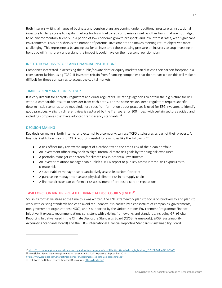Both insurers writing all types of business and pension plans are coming under additional pressure as institutional investors to deny access to capital markets for fossil fuel based companies as well as other firms that are not judged to be environmentally friendly. In a period of low economic growth prospects and low interest rates, with significant environmental risks, this shrinks the number of potential investments and makes meeting return objectives more challenging. This represents a balancing act for all investors ; those putting pressure on insurers to stop investing in bonds by oil firms rarely understand the impact it could have on their personal pension plan.

#### <span id="page-16-0"></span>INSTITUTIONAL INVESTORS AND FINANCIAL INSTITUTIONS

Companies interested in accessing the public/private debt or equity markets can disclose their carbon footprint in a transparent fashion using TCFD. If investors refrain from financing companies that do not participate this will make it difficult for those companies to access the capital markets.

#### <span id="page-16-1"></span>TRANSPARENCY AND CONSISTENCY

It is very difficult for analysts, regulators and quasi-regulators like ratings agencies to obtain the big picture for risk without comparable results to consider from each entity. For the same reason some regulators require specific deterministic scenarios to be modeled, here specific information about practices is used for ESG investors to identify good practices. A slightly different view is captured by the Transparency 100 Index, with certain sectors avoided and including companies that have adopted transparency standards.<sup>34</sup>

#### <span id="page-16-2"></span>DECISION MAKING

Key decision makers, both internal and external to a company, can use TCFD disclosures as part of their process. A financial institution may find TCFD reporting useful for examples like the following.<sup>35</sup>

- A risk officer may review the impact of a carbon tax on the credit risk of their loan portfolio
- An investment officer may seek to align internal climate risk goals by trending risk exposures
- A portfolio manager can screen for climate risk in potential investments
- An investor relations manager can publish a TCFD report to publicly assess internal risk exposures to climate risk
- A sustainability manager can quantitatively assess its carbon footprint
- A purchasing manager can assess physical climate risk in its supply chain
- A finance director can perform a risk assessment of proposed carbon regulations

#### <span id="page-16-3"></span>**TASK FORCE ON NATURE-RELATED FINANCIAL DISCLOSURES (TNFD)<sup>36</sup>**

Still in its formative stage at the time this was written, the TNFD framework plans to focus on biodiversity and plans to work with existing standards bodies to avoid redundancy. It is backed by a consortium of companies, governments, non-government organizations (NGO), and is supported by the United Nations Environment Programme Finance Initiative. It expects recommendations consistent with existing frameworks and standards, including GRI (Global Reporting Initiative, used in the Climate Disclosure Standards Board (CDSB) Framework), SASB (Sustainability Accounting Standards Board) and the IFRS (International Financial Reporting Standards) Sustainability Board.

<sup>34</sup> [https://transparencyinvest.com/transparency-index/?modtag=djemBestOfTheWeb&mod=djem\\_b\\_Feature\\_912021%2064841%20AM](https://transparencyinvest.com/transparency-index/?modtag=djemBestOfTheWeb&mod=djem_b_Feature_912021%2064841%20AM) <sup>35</sup> SPG Global. *Seven Ways to Inform Better Decisions with TCFD Reporting.* September 2020.

<https://www.spglobal.com/marketintelligence/en/documents/sp-tcfd-use-cases-final.pdf>

<sup>&</sup>lt;sup>36</sup> Task Force on Nature-related Financial Disclosures[. https://tnfd.info/](https://tnfd.info/)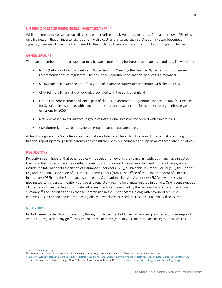#### <span id="page-17-0"></span>**UN PRINCIPLES FOR RESPONSIBLE INVESTMENT (PRI) 37**

While the regulatory based groups discussed earlier utilize mostly voluntary measures (at least for now), PRI relies on a framework that an investor signs up for (with a cost) and is tested against. Once an investor becomes a signatory their results become transparent to the public, so there is an incentive to follow through on pledges.

#### <span id="page-17-1"></span>**OTHER GROUPS**

There are a number of other groups that may be worth monitoring for future sustainability standards. They include:

- NGFS (Network of Central Banks and Supervisors for Greening the Financial System): this group makes recommendations to regulators (The New York Department of Financial Services is a member)
- SIF (Sustainable Insurance Forum): a group of insurance supervisors concerned with climate risks.
- CFRF (Climate Financial Risk Forum): associated with the Bank of England
- Group Net-Zero Insurance Alliance: part of the UN Environment Programme Finance Initiative's Principles for Sustainable Insurance, with a goal to transition underwriting portfolios to net-zero greenhouse gas emissions by 2050
- Net-Zero Asset Owner Alliance: a group of institutional investors concerned with climate risks.
- CDP (formerly the Carbon Disclosure Project): annual questionnaire.

At least one group, the Value Reporting Foundation's Integrated Reporting Framework, has a goal of aligning financial reporting through transparency and consistency between countries to support all of these other initiatives.

#### <span id="page-17-2"></span>**REGULATORY**

Regulators seem hopeful that other bodies will develop frameworks they can align with, but many have initiated their own task forces in case those efforts come up short. For institutional investors and insurers these groups include the International Association of Insurance Supervisors (IAIS), Sustainable Insurance Forum (SIF), the Bank of England, National Association of Insurance Commissioners (NAIC), the Office of the Superintendent of Financial Institutions (OSFI) and the European Insurance and Occupational Pension Authorities (EIOPA). As this is a fastmoving topic, it is best to monitor your specific regulatory regime for climate-related initiatives. One recent synopsis of international perspectives on climate risk assessment was developed by the Geneva Association and is a nice summary.<sup>38</sup> The Securities and Exchange Commission in the United States, along with provincial securities commissions in Canada and counterparts globally, have also expressed interest in sustainability disclosures.

#### <span id="page-17-3"></span>NEW YORK

In North America the state of New York, through its Department of Financial Services, provides a good example of where U.S. regulation may go.<sup>39</sup> They issued a circular letter (#15) in 2020 that provides background as well as a

<sup>37</sup> <https://www.unpri.org/>

<sup>38</sup> The Geneva Association. *Insurance Industry Perspectives on Regulatory Approaches to Climate Risk Assessment.* June 2021.

<https://www.genevaassociation.org/research-topics/climate-change-and-emerging-environmental-topics/insurance-industry-perspectives-regulatory>

<sup>39</sup> Financial Risks from Climate Change. New York State Department of Financial Services[. www.Dfs.ny.gov/industry\\_guidance/climate\\_change](http://www.dfs.ny.gov/industry_guidance/climate_change)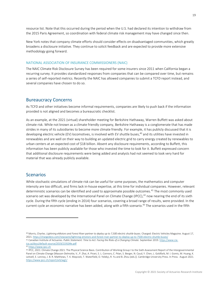resource list. Note that this occurred during the period when the U.S. had declared its intention to withdraw from the 2015 Paris Agreement, so coordination with federal climate risk management may have changed since then.

New York notes that company climate efforts should consider effects on disadvantaged communities, which greatly broadens a disclosure initiative. They continue to solicit feedback and are expected to provide more extensive methodology going forward.

#### <span id="page-18-0"></span>NATIONAL ASSOCIATION OF INSURANCE COMMISSIONERS (NAIC)

The NAIC Climate Risk Disclosure Survey has been required for some insurers since 2011 when California began a recurring survey. It provides standardized responses from companies that can be compared over time, but remains a series of self-reported metrics. Recently the NAIC has allowed companies to submit a TCFD report instead, and several companies have chosen to do so.

#### <span id="page-18-1"></span>Bureaucracy Concerns

As TCFD and other initiatives become informal requirements, companies are likely to push back if the information provided is not aligned and becomes a bureaucratic checklist.

As an example, at the 2021 (virtual) shareholder meeting for Berkshire Hathaway, Warren Buffett was asked about climate risk. While not known as a climate friendly company, Berkshire Hathaway is a conglomerate that has made strides in many of its subsidiaries to become more climate friendly. For example, it has publicly discussed that it is developing electric vehicle (EV) locomotives, is involved with EV shuttle buses, <sup>40</sup> and its utilities have invested in renewables and are well on their way to building an updated electric grid to carry energy created by renewables to urban centers at an expected cost of \$18 billion. Absent any disclosure requirements, according to Buffett, this information has been publicly available for those who invested the time to look for it. Buffett expressed concern that additional disclosure requirements were being added and analysts had not seemed to look very hard for material that was already publicly available.

### <span id="page-18-2"></span>Scenarios

While stochastic simulations of climate risk can be useful for some purposes, the mathematics and computer intensity are too difficult, and firms lack in-house expertise, at this time for individual companies. However, relevant deterministic scenarios can be identified and used to approximate possible outcomes.<sup>41</sup> The most commonly used scenario set was developed by the International Panel on Climate Change (IPCC),<sup>42</sup> now nearing the end of its sixth cycle. During the fifth cycle (ending in 2014) four scenarios, covering a broad range of results, were provided. In the current cycle an economic narrative has been added, along with a fifth scenario. <sup>43</sup> The scenarios used in the fifth

<sup>40</sup> Morris, Charles. *Lightning eMotors and Forest River partner to deploy up to 7,500 electric shuttle buses.* Charged: Electric Vehicles Magazine. August 17, 2021[. https://chargedevs.com/newswire/lightning-emotors-and-forest-river-partner-to-deploy-up-to-7500-electric-shuttle-buses/](https://chargedevs.com/newswire/lightning-emotors-and-forest-river-partner-to-deploy-up-to-7500-electric-shuttle-buses/) <sup>41</sup> Canadian Institute of Actuaries. *Public Statement: Time to Act: Facing the Risks of a Changing Climate.* September 2019[. https://www.cia-](https://www.cia-ica.ca/docs/default-source/2019/219104e.pdf)

[ica.ca/docs/default-source/2019/219104e.pdf](https://www.cia-ica.ca/docs/default-source/2019/219104e.pdf)

<sup>42</sup> [https://www.ipcc.ch](https://www.ipcc.ch/)

<sup>43</sup> IPCC, 2021: Climate Change 2021: The Physical Science Basis. Contribution of Working Group I to the Sixth Assessment Report of the Intergovernmental Panel on Climate Change [Masson-Delmotte, V., P. Zhai, A. Pirani, S. L. Connors, C. Péan, S. Berger, N. Caud, Y. Chen, L. Goldfarb, M. I. Gomis, M. Huang, K. Leitzell, E. Lonnoy, J. B. R. Matthews, T. K. Maycock, T. Waterfield, O. Yelekçi, R. Yu and B. Zhou (eds.)]. Cambridge University Press. In Press. August 2021. <https://www.ipcc.ch/report/ar6/wg1/>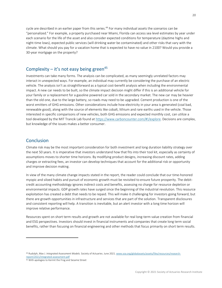cycle are described in an earlier paper from this series.<sup>44</sup> For many individual assets the scenarios can be "personalized." For example, a property purchased near Miami, Florida can access sea level estimates by year under each scenario for the life of the asset and also consider expected conditions for temperature (daytime highs and night-time lows), expected public services (will drinking water be contaminated) and other risks that vary with the climate. What should you pay for a vacation home that is expected to have no value in 2100? Would you provide a 30-year mortgage on the property?

## <span id="page-19-0"></span>Complexity – it's not easy being green<sup>45</sup>

Investments can take many forms. The analysis can be complicated, as many seemingly unrelated factors may interact in unexpected ways. For example, an individual may currently be considering the purchase of an electric vehicle. The analysis isn't as straightforward as a typical cost-benefit analysis when including the environmental impact. A new car needs to be built, so the climate impact decision might differ if this is an additional vehicle for your family or a replacement for a gasoline powered car sold in the secondary market. The new car may be heavier than the old one, due to the large battery, so roads may need to be upgraded. Cement production is one of the worst emitters of GHG emissions. Other considerations include how electricity in your area is generated (coal bad, renewable good), along with the source of elements like cobalt, lithium and rare earths used in the vehicle. Those interested in specific comparisons of new vehicles, both GHG emissions and expected monthly cost, can utilize a tool developed by the MIT Trancik Lab found at [https://www.carboncounter.com/#!/explore.](https://www.carboncounter.com/#!/explore) Decisions are complex, but knowledge of the issues makes a better consumer.

## <span id="page-19-1"></span>Conclusion

Climate risk may be the most important consideration for both investment and long duration liability strategy over the next 50 years. It is imperative that investors understand how that fits into their tool kit, especially as certainty of assumptions moves to shorter time horizons. By modifying product designs, increasing discount rates, adding charges or extracting fees, an investor can develop techniques that account for the additional risk or opportunity and improve decision making.

In view of the many climate change impacts stated in the report, the reader could conclude that our time-honored myopic and siloed habits and pursuit of economic growth must be revisited to ensure future prosperity. The debitcredit accounting methodology ignores indirect costs and benefits, assessing no charge for resource depletion or environmental impacts. GDP growth rates have surged since the beginning of the industrial revolution. This resource exploitation has created a debt that needs to be repaid. This will make it challenging for investors going forward, but there are growth opportunities in infrastructure and services that are part of the solution. Transparent disclosures and consistent reporting will help. A transition is inevitable, but an alert investor with a long time horizon will improve relative performance.

Resources spent on short term results and growth are not available for real long-term value creation from financial and ESG perspectives. Investors should invest in financial instruments and companies that create long term social benefits, rather than focusing on financial engineering and other methods that focus primarily on short term results.

<sup>44</sup> Rudolph, Max J. *Integrated Assessment Models.* Society of Actuaries. June 2021[. www.soa.org/globalassets/assets/files/resources/research](http://www.soa.org/globalassets/assets/files/resources/research-report/2021/integrated-assessment.pdf)[report/2021/integrated-assessment.pdf](http://www.soa.org/globalassets/assets/files/resources/research-report/2021/integrated-assessment.pdf)

<sup>45</sup> With apologies to Kermit the Frog and Sesame Street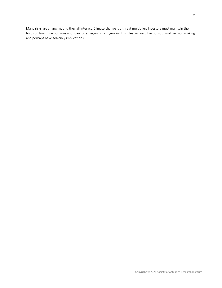Many risks are changing, and they all interact. Climate change is a threat multiplier. Investors must maintain their focus on long time horizons and scan for emerging risks. Ignoring this plea will result in non-optimal decision making and perhaps have solvency implications.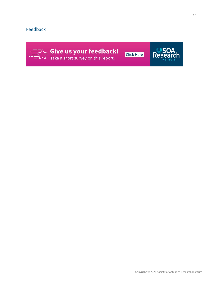## <span id="page-21-0"></span>Feedback



S Give us your feedback!



ම $S$ ර

Re



Copyright © 2021 Society of Actuaries Research Institute